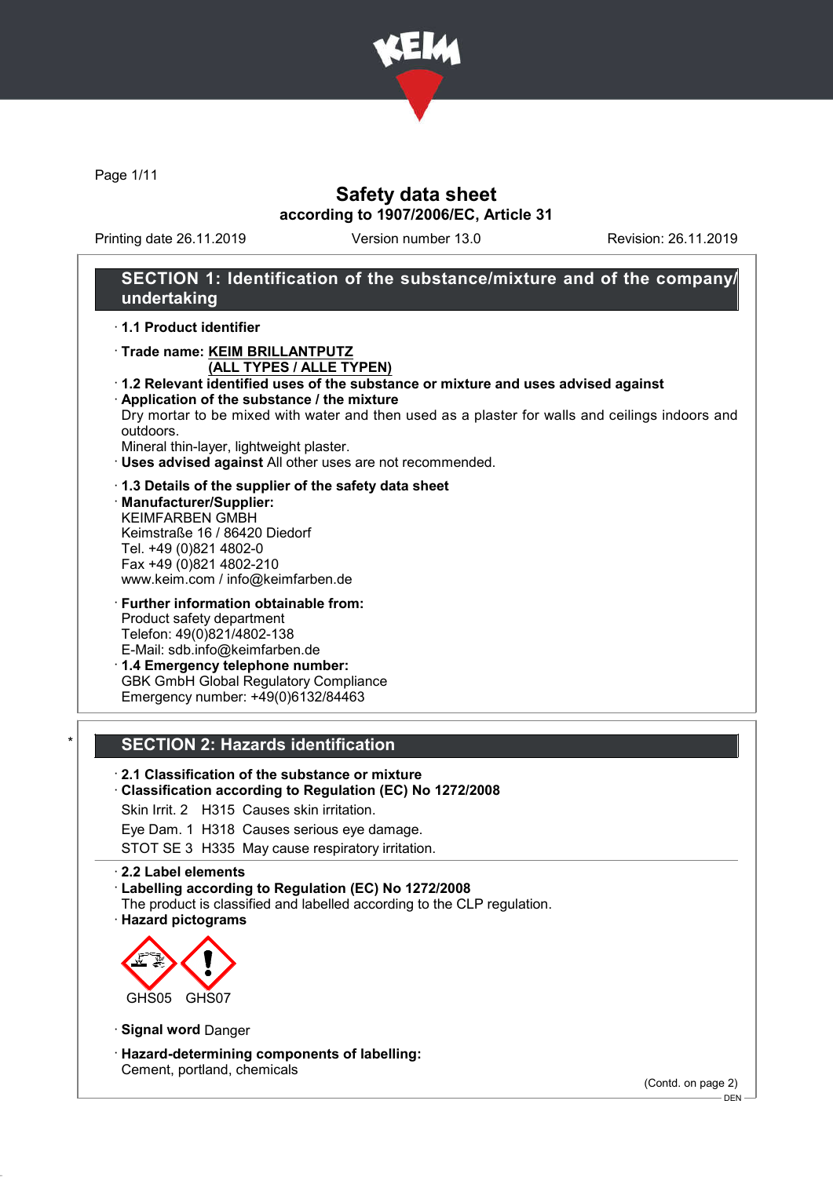

Page 1/11

# Safety data sheet according to 1907/2006/EC, Article 31

Printing date 26.11.2019 Version number 13.0 Revision: 26.11.2019

# SECTION 1: Identification of the substance/mixture and of the company/ undertaking

· 1.1 Product identifier

- · Trade name: KEIM BRILLANTPUTZ (ALL TYPES / ALLE TYPEN)
- · 1.2 Relevant identified uses of the substance or mixture and uses advised against · Application of the substance / the mixture
- Dry mortar to be mixed with water and then used as a plaster for walls and ceilings indoors and outdoors.
- Mineral thin-layer, lightweight plaster.
- · Uses advised against All other uses are not recommended.
- · 1.3 Details of the supplier of the safety data sheet · Manufacturer/Supplier: KEIMFARBEN GMBH Keimstraße 16 / 86420 Diedorf Tel. +49 (0)821 4802-0 Fax +49 (0)821 4802-210 www.keim.com / info@keimfarben.de
- · Further information obtainable from: Product safety department Telefon: 49(0)821/4802-138 E-Mail: sdb.info@keimfarben.de · 1.4 Emergency telephone number:
- GBK GmbH Global Regulatory Compliance Emergency number: +49(0)6132/84463

### SECTION 2: Hazards identification

### · 2.1 Classification of the substance or mixture

### · Classification according to Regulation (EC) No 1272/2008

Skin Irrit. 2 H315 Causes skin irritation.

Eye Dam. 1 H318 Causes serious eye damage.

STOT SE 3 H335 May cause respiratory irritation.

#### · 2.2 Label elements

#### · Labelling according to Regulation (EC) No 1272/2008

- The product is classified and labelled according to the CLP regulation.
- · Hazard pictograms



· Signal word Danger

· Hazard-determining components of labelling: Cement, portland, chemicals

(Contd. on page 2)

DEN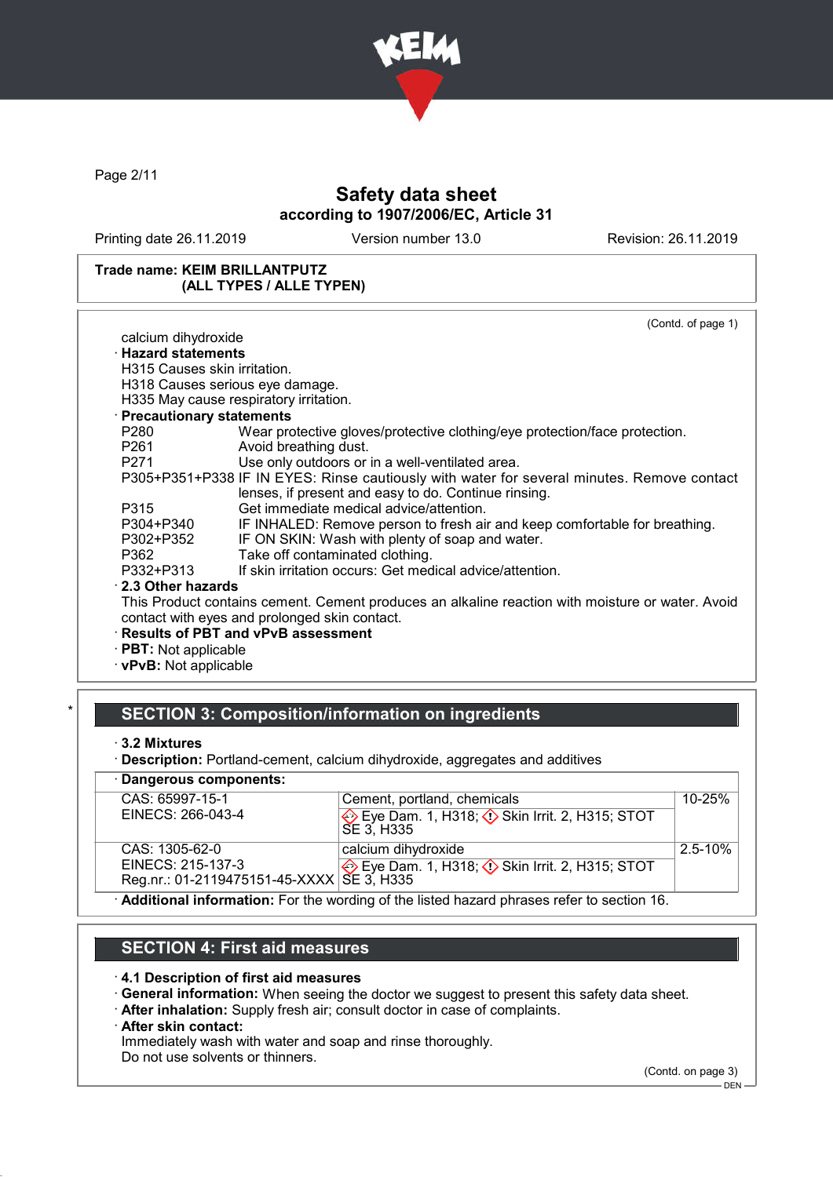

Page 2/11

# Safety data sheet according to 1907/2006/EC, Article 31

Printing date 26.11.2019 Version number 13.0 Revision: 26.11.2019

### Trade name: KEIM BRILLANTPUTZ (ALL TYPES / ALLE TYPEN)

|                              | (Contd. of page 1)                                                                               |
|------------------------------|--------------------------------------------------------------------------------------------------|
| calcium dihydroxide          |                                                                                                  |
| <b>· Hazard statements</b>   |                                                                                                  |
| H315 Causes skin irritation. |                                                                                                  |
|                              | H318 Causes serious eye damage.                                                                  |
|                              | H335 May cause respiratory irritation.                                                           |
| · Precautionary statements   |                                                                                                  |
| P280                         | Wear protective gloves/protective clothing/eye protection/face protection.                       |
| P261                         | Avoid breathing dust.                                                                            |
| P271 200                     | Use only outdoors or in a well-ventilated area.                                                  |
|                              | P305+P351+P338 IF IN EYES: Rinse cautiously with water for several minutes. Remove contact       |
|                              | lenses, if present and easy to do. Continue rinsing.                                             |
| P315                         | Get immediate medical advice/attention.                                                          |
| P304+P340                    | IF INHALED: Remove person to fresh air and keep comfortable for breathing.                       |
| P302+P352                    | IF ON SKIN: Wash with plenty of soap and water.                                                  |
| P362                         | Take off contaminated clothing.                                                                  |
| P332+P313                    | If skin irritation occurs: Get medical advice/attention.                                         |
| 2.3 Other hazards            |                                                                                                  |
|                              | This Product contains cement. Cement produces an alkaline reaction with moisture or water. Avoid |
|                              | contact with eyes and prolonged skin contact.                                                    |
|                              | · Results of PBT and vPvB assessment                                                             |
| $\cdot$ PBT: Not applicable  |                                                                                                  |
| $\cdot$ vPvB: Not applicable |                                                                                                  |
|                              |                                                                                                  |

# SECTION 3: Composition/information on ingredients

· 3.2 Mixtures

· Description: Portland-cement, calcium dihydroxide, aggregates and additives

· Dangerous components:

| CAS: 65997-15-1                                                                             | Cement, portland, chemicals                                                 | $10 - 25%$   |  |  |
|---------------------------------------------------------------------------------------------|-----------------------------------------------------------------------------|--------------|--|--|
| EINECS: 266-043-4                                                                           | Eye Dam. 1, H318; $\Diamond$ Skin Irrit. 2, H315; STOT<br><b>SE 3. H335</b> |              |  |  |
| CAS: 1305-62-0                                                                              | calcium dihydroxide                                                         | $2.5 - 10\%$ |  |  |
| EINECS: 215-137-3                                                                           | Eye Dam. 1, H318; $\Diamond$ Skin Irrit. 2, H315; STOT                      |              |  |  |
| Reg.nr.: 01-2119475151-45-XXXX   SE 3, H335                                                 |                                                                             |              |  |  |
| · Additional information: For the wording of the listed hazard phrases refer to section 16. |                                                                             |              |  |  |

### SECTION 4: First aid measures

- · 4.1 Description of first aid measures
- · General information: When seeing the doctor we suggest to present this safety data sheet.
- · After inhalation: Supply fresh air; consult doctor in case of complaints.
- · After skin contact:
- Immediately wash with water and soap and rinse thoroughly.

Do not use solvents or thinners.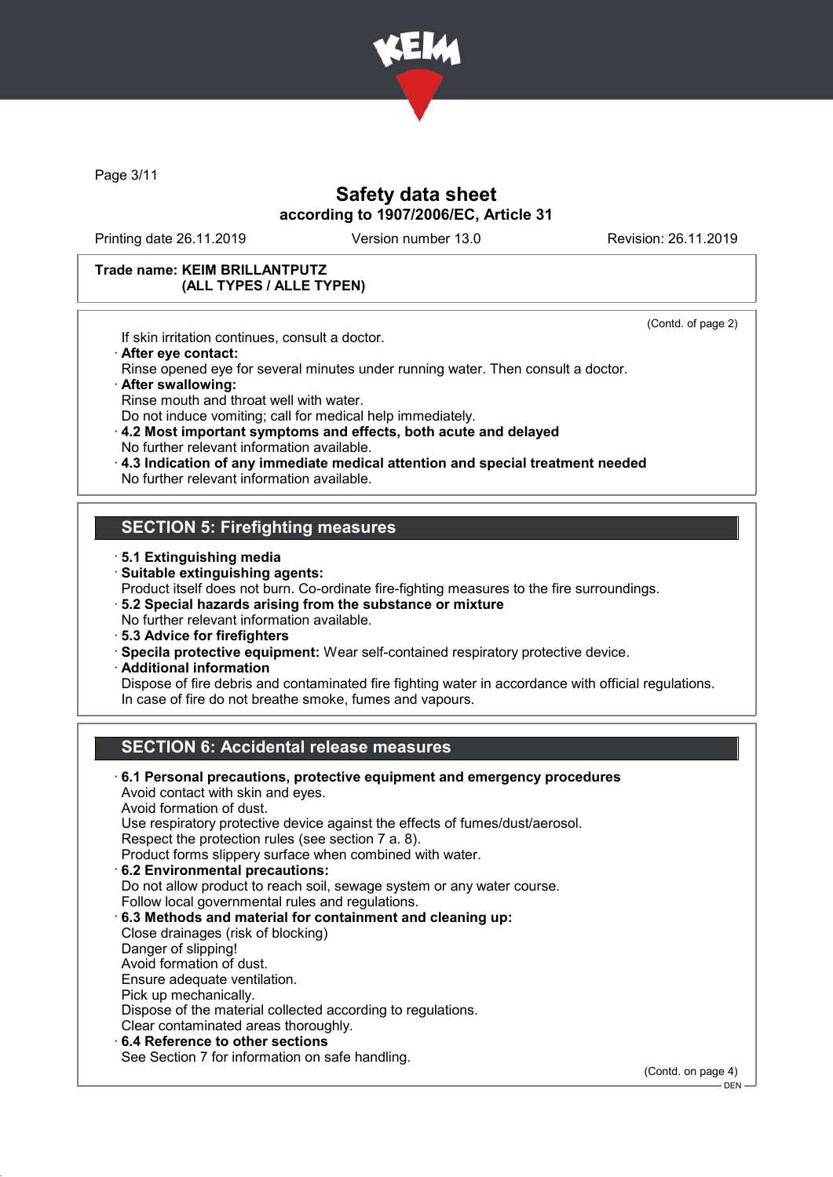

Page 3/11

# Safety data sheet according to 1907/2006/EC, Article 31

Printing date 26.11.2019 Version number 13.0 Revision: 26.11.2019

(Contd. of page 2)

#### Trade name: KEIM BRILLANTPUTZ (ALL TYPES / ALLE TYPEN)

If skin irritation continues, consult a doctor.

· After eye contact:

Rinse opened eye for several minutes under running water. Then consult a doctor. · After swallowing:

Rinse mouth and throat well with water.

Do not induce vomiting; call for medical help immediately.

- · 4.2 Most important symptoms and effects, both acute and delayed No further relevant information available.
- · 4.3 Indication of any immediate medical attention and special treatment needed No further relevant information available.

### SECTION 5: Firefighting measures

- · 5.1 Extinguishing media
- · Suitable extinguishing agents:
- Product itself does not burn. Co-ordinate fire-fighting measures to the fire surroundings.
- · 5.2 Special hazards arising from the substance or mixture
- No further relevant information available.
- · 5.3 Advice for firefighters
- · Specila protective equipment: Wear self-contained respiratory protective device.
- · Additional information
- Dispose of fire debris and contaminated fire fighting water in accordance with official regulations. In case of fire do not breathe smoke, fumes and vapours.

# SECTION 6: Accidental release measures

· 6.1 Personal precautions, protective equipment and emergency procedures Avoid contact with skin and eyes. Avoid formation of dust. Use respiratory protective device against the effects of fumes/dust/aerosol. Respect the protection rules (see section 7 a. 8). Product forms slippery surface when combined with water. · 6.2 Environmental precautions: Do not allow product to reach soil, sewage system or any water course. Follow local governmental rules and regulations. · 6.3 Methods and material for containment and cleaning up: Close drainages (risk of blocking) Danger of slipping! Avoid formation of dust. Ensure adequate ventilation. Pick up mechanically. Dispose of the material collected according to regulations. Clear contaminated areas thoroughly. 6.4 Reference to other sections See Section 7 for information on safe handling.

(Contd. on page 4)

 $-$  DEN -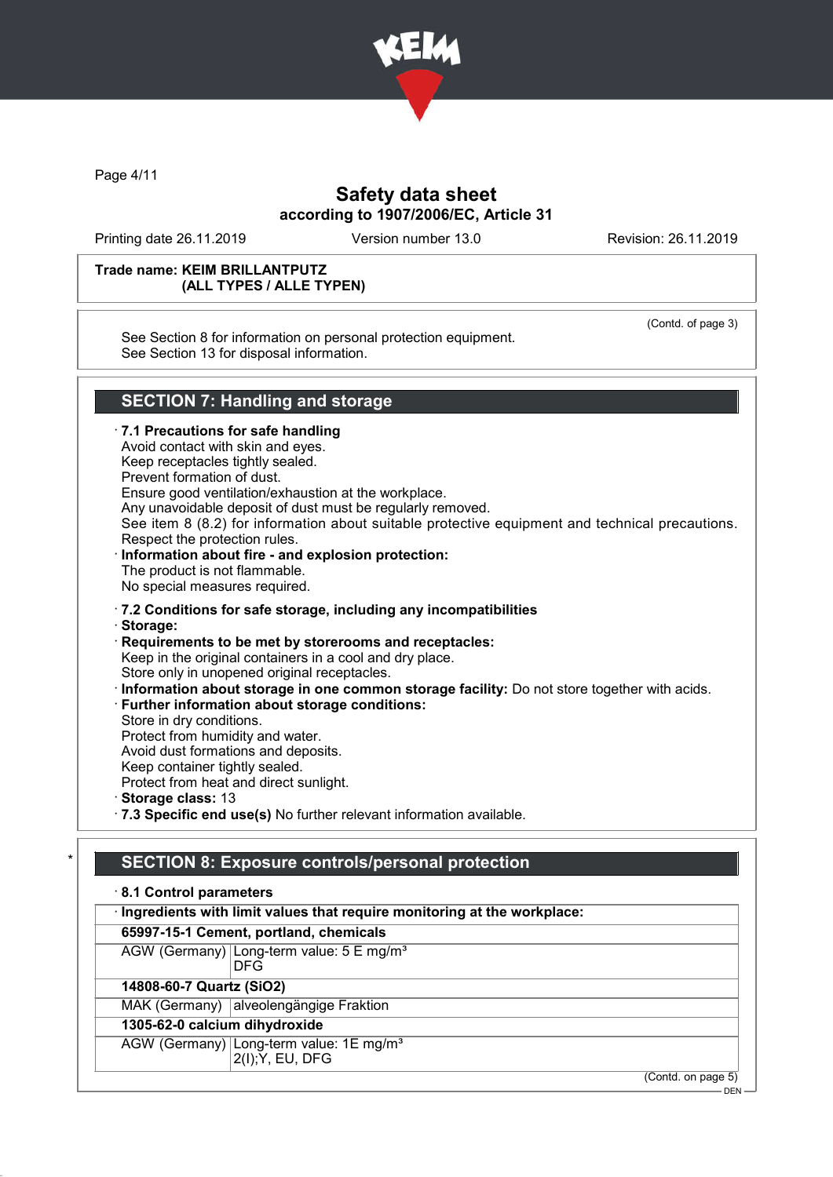

Page 4/11

# Safety data sheet according to 1907/2006/EC, Article 31

Printing date 26.11.2019 Version number 13.0 Revision: 26.11.2019

#### Trade name: KEIM BRILLANTPUTZ (ALL TYPES / ALLE TYPEN)

See Section 8 for information on personal protection equipment. See Section 13 for disposal information.

(Contd. of page 3)

# SECTION 7: Handling and storage

 $\cdot$  7.1 Precautions for safe handling Avoid contact with skin and eyes. Keep receptacles tightly sealed. Prevent formation of dust. Ensure good ventilation/exhaustion at the workplace. Any unavoidable deposit of dust must be regularly removed. See item 8 (8.2) for information about suitable protective equipment and technical precautions. Respect the protection rules. Information about fire - and explosion protection: The product is not flammable. No special measures required. · 7.2 Conditions for safe storage, including any incompatibilities · Storage: · Requirements to be met by storerooms and receptacles: Keep in the original containers in a cool and dry place. Store only in unopened original receptacles. · Information about storage in one common storage facility: Do not store together with acids. · Further information about storage conditions: Store in dry conditions. Protect from humidity and water. Avoid dust formations and deposits. Keep container tightly sealed. Protect from heat and direct sunlight. · Storage class: 13 · 7.3 Specific end use(s) No further relevant information available.

# SECTION 8: Exposure controls/personal protection

### · 8.1 Control parameters · Ingredients with limit values that require monitoring at the workplace: 65997-15-1 Cement, portland, chemicals AGW (Germany) Long-term value: 5 E mg/m<sup>3</sup>

DFG

14808-60-7 Quartz (SiO2)

MAK (Germany) alveolengängige Fraktion

1305-62-0 calcium dihydroxide

AGW (Germany) Long-term value: 1E mg/m<sup>3</sup>

2(I);Y, EU, DFG

(Contd. on page 5)

DEN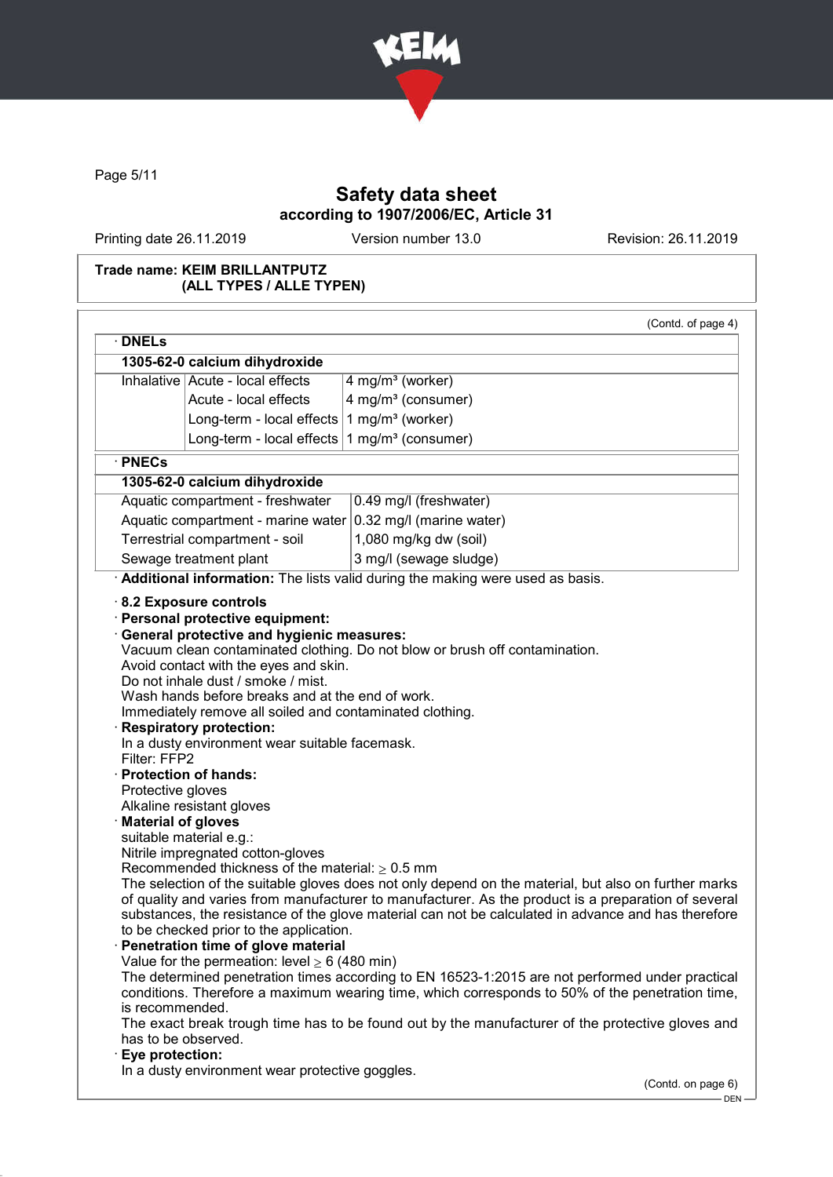

Page 5/11

# Safety data sheet according to 1907/2006/EC, Article 31

Printing date 26.11.2019 Version number 13.0 Revision: 26.11.2019

### Trade name: KEIM BRILLANTPUTZ (ALL TYPES / ALLE TYPEN)

| $\cdot$ DNELs                                                                                                                                                                                                                                                                                                                                                                                                                                                                                                                                                                                                                                                                                                                                             |                           | (Contd. of page 4)                                                                                                                                                                                                                                                                                                                                                                                                                                                                                                                                                                   |
|-----------------------------------------------------------------------------------------------------------------------------------------------------------------------------------------------------------------------------------------------------------------------------------------------------------------------------------------------------------------------------------------------------------------------------------------------------------------------------------------------------------------------------------------------------------------------------------------------------------------------------------------------------------------------------------------------------------------------------------------------------------|---------------------------|--------------------------------------------------------------------------------------------------------------------------------------------------------------------------------------------------------------------------------------------------------------------------------------------------------------------------------------------------------------------------------------------------------------------------------------------------------------------------------------------------------------------------------------------------------------------------------------|
| 1305-62-0 calcium dihydroxide                                                                                                                                                                                                                                                                                                                                                                                                                                                                                                                                                                                                                                                                                                                             |                           |                                                                                                                                                                                                                                                                                                                                                                                                                                                                                                                                                                                      |
| Inhalative Acute - local effects                                                                                                                                                                                                                                                                                                                                                                                                                                                                                                                                                                                                                                                                                                                          |                           | 4 mg/m <sup>3</sup> (worker)                                                                                                                                                                                                                                                                                                                                                                                                                                                                                                                                                         |
|                                                                                                                                                                                                                                                                                                                                                                                                                                                                                                                                                                                                                                                                                                                                                           | Acute - local effects     | 4 mg/m <sup>3</sup> (consumer)                                                                                                                                                                                                                                                                                                                                                                                                                                                                                                                                                       |
|                                                                                                                                                                                                                                                                                                                                                                                                                                                                                                                                                                                                                                                                                                                                                           |                           |                                                                                                                                                                                                                                                                                                                                                                                                                                                                                                                                                                                      |
|                                                                                                                                                                                                                                                                                                                                                                                                                                                                                                                                                                                                                                                                                                                                                           | Long-term - local effects | 1 mg/m <sup>3</sup> (worker)                                                                                                                                                                                                                                                                                                                                                                                                                                                                                                                                                         |
|                                                                                                                                                                                                                                                                                                                                                                                                                                                                                                                                                                                                                                                                                                                                                           | Long-term - local effects | 1 mg/m $3$ (consumer)                                                                                                                                                                                                                                                                                                                                                                                                                                                                                                                                                                |
| $\cdot$ PNECs                                                                                                                                                                                                                                                                                                                                                                                                                                                                                                                                                                                                                                                                                                                                             |                           |                                                                                                                                                                                                                                                                                                                                                                                                                                                                                                                                                                                      |
| 1305-62-0 calcium dihydroxide                                                                                                                                                                                                                                                                                                                                                                                                                                                                                                                                                                                                                                                                                                                             |                           |                                                                                                                                                                                                                                                                                                                                                                                                                                                                                                                                                                                      |
| Aquatic compartment - freshwater                                                                                                                                                                                                                                                                                                                                                                                                                                                                                                                                                                                                                                                                                                                          |                           | 0.49 mg/l (freshwater)                                                                                                                                                                                                                                                                                                                                                                                                                                                                                                                                                               |
|                                                                                                                                                                                                                                                                                                                                                                                                                                                                                                                                                                                                                                                                                                                                                           |                           | Aquatic compartment - marine water $ 0.32 \text{ mg/l}$ (marine water)                                                                                                                                                                                                                                                                                                                                                                                                                                                                                                               |
| Terrestrial compartment - soil                                                                                                                                                                                                                                                                                                                                                                                                                                                                                                                                                                                                                                                                                                                            |                           | 1,080 mg/kg dw (soil)                                                                                                                                                                                                                                                                                                                                                                                                                                                                                                                                                                |
| Sewage treatment plant                                                                                                                                                                                                                                                                                                                                                                                                                                                                                                                                                                                                                                                                                                                                    |                           | 3 mg/l (sewage sludge)                                                                                                                                                                                                                                                                                                                                                                                                                                                                                                                                                               |
|                                                                                                                                                                                                                                                                                                                                                                                                                                                                                                                                                                                                                                                                                                                                                           |                           | Additional information: The lists valid during the making were used as basis.                                                                                                                                                                                                                                                                                                                                                                                                                                                                                                        |
| Avoid contact with the eyes and skin.<br>Do not inhale dust / smoke / mist.<br>Wash hands before breaks and at the end of work.<br><b>Respiratory protection:</b><br>In a dusty environment wear suitable facemask.<br>Filter: FFP2<br>· Protection of hands:<br>Protective gloves<br>Alkaline resistant gloves<br><b>Material of gloves</b><br>suitable material e.g.:<br>Nitrile impregnated cotton-gloves<br>Recommended thickness of the material: $\geq 0.5$ mm<br>to be checked prior to the application.<br>Penetration time of glove material<br>Value for the permeation: level $\geq 6$ (480 min)<br>is recommended.<br>The exact break trough time has to be found out by the manufacturer of the protective gloves and<br>has to be observed. |                           | Immediately remove all soiled and contaminated clothing.<br>The selection of the suitable gloves does not only depend on the material, but also on further marks<br>of quality and varies from manufacturer to manufacturer. As the product is a preparation of several<br>substances, the resistance of the glove material can not be calculated in advance and has therefore<br>The determined penetration times according to EN 16523-1:2015 are not performed under practical<br>conditions. Therefore a maximum wearing time, which corresponds to 50% of the penetration time, |

.<br>-- DEN -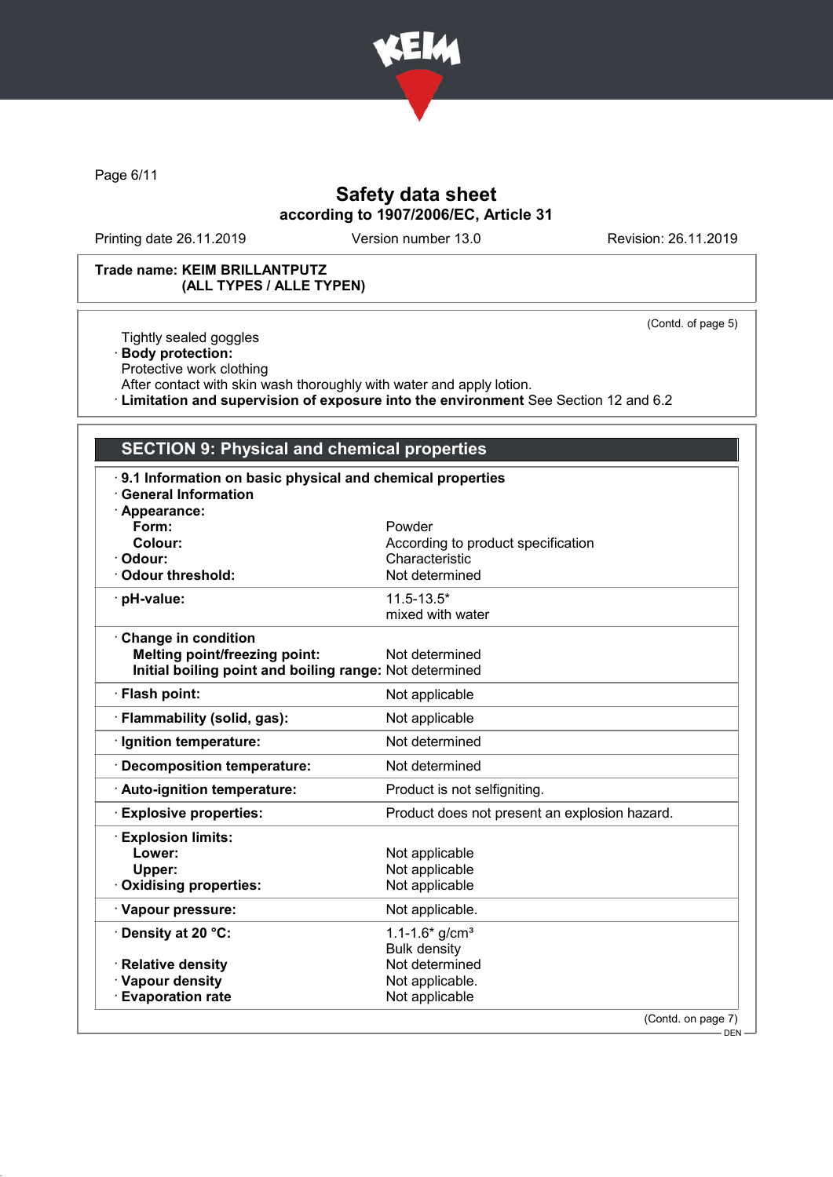

Page 6/11

# Safety data sheet according to 1907/2006/EC, Article 31

Printing date 26.11.2019 Version number 13.0 Revision: 26.11.2019

(Contd. of page 5)

### Trade name: KEIM BRILLANTPUTZ (ALL TYPES / ALLE TYPEN)

Tightly sealed goggles

· Body protection:

Protective work clothing

After contact with skin wash thoroughly with water and apply lotion.

· Limitation and supervision of exposure into the environment See Section 12 and 6.2

# SECTION 9: Physical and chemical properties

| · Appearance:                                           |                                               |
|---------------------------------------------------------|-----------------------------------------------|
| Form:                                                   | Powder                                        |
| Colour:                                                 | According to product specification            |
| Odour:                                                  | Characteristic                                |
| <b>Odour threshold:</b>                                 | Not determined                                |
| pH-value:                                               | $11.5 - 13.5*$                                |
|                                                         | mixed with water                              |
| <b>Change in condition</b>                              |                                               |
| <b>Melting point/freezing point:</b>                    | Not determined                                |
| Initial boiling point and boiling range: Not determined |                                               |
| · Flash point:                                          | Not applicable                                |
| · Flammability (solid, gas):                            | Not applicable                                |
| · Ignition temperature:                                 | Not determined                                |
| <b>Decomposition temperature:</b>                       | Not determined                                |
| · Auto-ignition temperature:                            | Product is not selfigniting.                  |
| <b>Explosive properties:</b>                            | Product does not present an explosion hazard. |
| <b>Explosion limits:</b>                                |                                               |
| Lower:                                                  | Not applicable                                |
| Upper:                                                  | Not applicable                                |
| <b>Oxidising properties:</b>                            | Not applicable                                |
| · Vapour pressure:                                      | Not applicable.                               |
| · Density at 20 °C:                                     | $1.1 - 1.6$ * g/cm <sup>3</sup>               |
|                                                         | <b>Bulk density</b>                           |
| · Relative density                                      | Not determined                                |
| · Vapour density<br><b>Evaporation rate</b>             | Not applicable.<br>Not applicable             |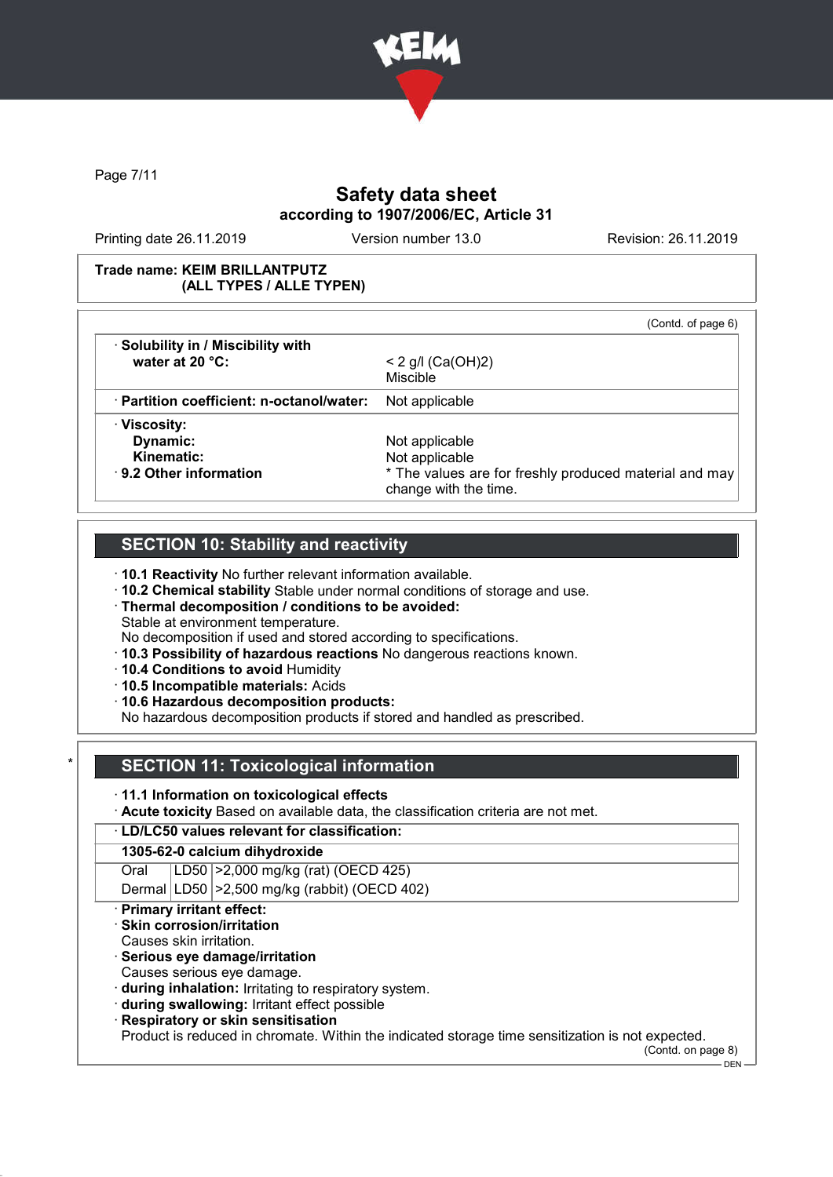

Page 7/11

# Safety data sheet according to 1907/2006/EC, Article 31

Printing date 26.11.2019 Version number 13.0 Revision: 26.11.2019

### Trade name: KEIM BRILLANTPUTZ (ALL TYPES / ALLE TYPEN)

| · Solubility in / Miscibility with              | (Contd. of page 6)                                                              |
|-------------------------------------------------|---------------------------------------------------------------------------------|
| water at 20 $°C$ :                              | $< 2$ g/l (Ca(OH)2)<br><b>Miscible</b>                                          |
| $\cdot$ Partition coefficient: n-octanol/water: | Not applicable                                                                  |
| · Viscosity:                                    |                                                                                 |
| Dynamic:                                        | Not applicable                                                                  |
| Kinematic:                                      | Not applicable                                                                  |
| $\cdot$ 9.2 Other information                   | * The values are for freshly produced material and may<br>change with the time. |

# SECTION 10: Stability and reactivity

· 10.1 Reactivity No further relevant information available.

· 10.2 Chemical stability Stable under normal conditions of storage and use.

· Thermal decomposition / conditions to be avoided:

Stable at environment temperature.

No decomposition if used and stored according to specifications.

· 10.3 Possibility of hazardous reactions No dangerous reactions known.

· 10.4 Conditions to avoid Humidity

· 10.5 Incompatible materials: Acids

· 10.6 Hazardous decomposition products:

No hazardous decomposition products if stored and handled as prescribed.

# **SECTION 11: Toxicological information**

· 11.1 Information on toxicological effects

· Acute toxicity Based on available data, the classification criteria are not met.

· LD/LC50 values relevant for classification:

### 1305-62-0 calcium dihydroxide

Oral LD50 >2,000 mg/kg (rat) (OECD 425)

Dermal LD50 >2,500 mg/kg (rabbit) (OECD 402)

### · Primary irritant effect:

· Skin corrosion/irritation

- Causes skin irritation.
- · Serious eye damage/irritation
- Causes serious eye damage.

· during inhalation: Irritating to respiratory system.

· during swallowing: Irritant effect possible

· Respiratory or skin sensitisation

Product is reduced in chromate. Within the indicated storage time sensitization is not expected.

(Contd. on page 8)

DEN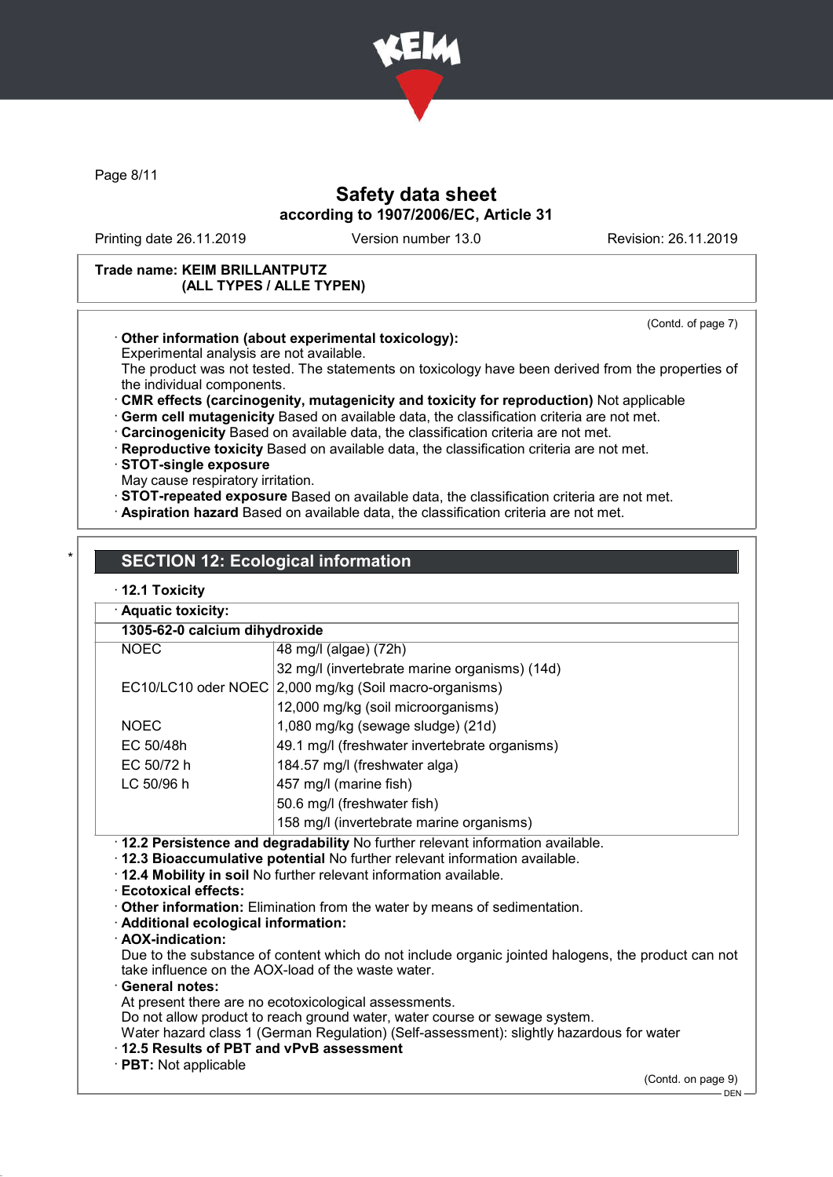

Page 8/11

# Safety data sheet according to 1907/2006/EC, Article 31

Printing date 26.11.2019 Version number 13.0 Revision: 26.11.2019

(Contd. of page 7)

### Trade name: KEIM BRILLANTPUTZ (ALL TYPES / ALLE TYPEN)

### · Other information (about experimental toxicology):

Experimental analysis are not available.

The product was not tested. The statements on toxicology have been derived from the properties of the individual components.

· CMR effects (carcinogenity, mutagenicity and toxicity for reproduction) Not applicable

· Germ cell mutagenicity Based on available data, the classification criteria are not met.

· Carcinogenicity Based on available data, the classification criteria are not met.

· Reproductive toxicity Based on available data, the classification criteria are not met.

· STOT-single exposure

May cause respiratory irritation.

· STOT-repeated exposure Based on available data, the classification criteria are not met.

· Aspiration hazard Based on available data, the classification criteria are not met.

# **SECTION 12: Ecological information**

### · 12.1 Toxicity

| · Aquatic toxicity:                                                                                                                                                                                                                                                                                                                                                                                                                                                                                                                                                                                                                                                                                                                                                                                                                                                                                               |                                                        |  |  |
|-------------------------------------------------------------------------------------------------------------------------------------------------------------------------------------------------------------------------------------------------------------------------------------------------------------------------------------------------------------------------------------------------------------------------------------------------------------------------------------------------------------------------------------------------------------------------------------------------------------------------------------------------------------------------------------------------------------------------------------------------------------------------------------------------------------------------------------------------------------------------------------------------------------------|--------------------------------------------------------|--|--|
| 1305-62-0 calcium dihydroxide                                                                                                                                                                                                                                                                                                                                                                                                                                                                                                                                                                                                                                                                                                                                                                                                                                                                                     |                                                        |  |  |
| <b>NOEC</b>                                                                                                                                                                                                                                                                                                                                                                                                                                                                                                                                                                                                                                                                                                                                                                                                                                                                                                       | 48 mg/l (algae) (72h)                                  |  |  |
|                                                                                                                                                                                                                                                                                                                                                                                                                                                                                                                                                                                                                                                                                                                                                                                                                                                                                                                   | 32 mg/l (invertebrate marine organisms) (14d)          |  |  |
|                                                                                                                                                                                                                                                                                                                                                                                                                                                                                                                                                                                                                                                                                                                                                                                                                                                                                                                   | EC10/LC10 oder NOEC 2,000 mg/kg (Soil macro-organisms) |  |  |
|                                                                                                                                                                                                                                                                                                                                                                                                                                                                                                                                                                                                                                                                                                                                                                                                                                                                                                                   | 12,000 mg/kg (soil microorganisms)                     |  |  |
| <b>NOEC</b>                                                                                                                                                                                                                                                                                                                                                                                                                                                                                                                                                                                                                                                                                                                                                                                                                                                                                                       | 1,080 mg/kg (sewage sludge) (21d)                      |  |  |
| EC 50/48h                                                                                                                                                                                                                                                                                                                                                                                                                                                                                                                                                                                                                                                                                                                                                                                                                                                                                                         | 49.1 mg/l (freshwater invertebrate organisms)          |  |  |
| EC 50/72 h                                                                                                                                                                                                                                                                                                                                                                                                                                                                                                                                                                                                                                                                                                                                                                                                                                                                                                        | 184.57 mg/l (freshwater alga)                          |  |  |
| LC 50/96 h                                                                                                                                                                                                                                                                                                                                                                                                                                                                                                                                                                                                                                                                                                                                                                                                                                                                                                        | 457 mg/l (marine fish)                                 |  |  |
|                                                                                                                                                                                                                                                                                                                                                                                                                                                                                                                                                                                                                                                                                                                                                                                                                                                                                                                   | 50.6 mg/l (freshwater fish)                            |  |  |
|                                                                                                                                                                                                                                                                                                                                                                                                                                                                                                                                                                                                                                                                                                                                                                                                                                                                                                                   | 158 mg/l (invertebrate marine organisms)               |  |  |
| · 12.2 Persistence and degradability No further relevant information available.<br>· 12.3 Bioaccumulative potential No further relevant information available.<br>· 12.4 Mobility in soil No further relevant information available.<br>Ecotoxical effects:<br>Other information: Elimination from the water by means of sedimentation.<br>· Additional ecological information:<br>· AOX-indication:<br>Due to the substance of content which do not include organic jointed halogens, the product can not<br>take influence on the AOX-load of the waste water.<br>· General notes:<br>At present there are no ecotoxicological assessments.<br>Do not allow product to reach ground water, water course or sewage system.<br>Water hazard class 1 (German Regulation) (Self-assessment): slightly hazardous for water<br>12.5 Results of PBT and vPvB assessment<br>· PBT: Not applicable<br>(Contd. on page 9) |                                                        |  |  |
|                                                                                                                                                                                                                                                                                                                                                                                                                                                                                                                                                                                                                                                                                                                                                                                                                                                                                                                   | $\overline{\phantom{a}}$ DEN –                         |  |  |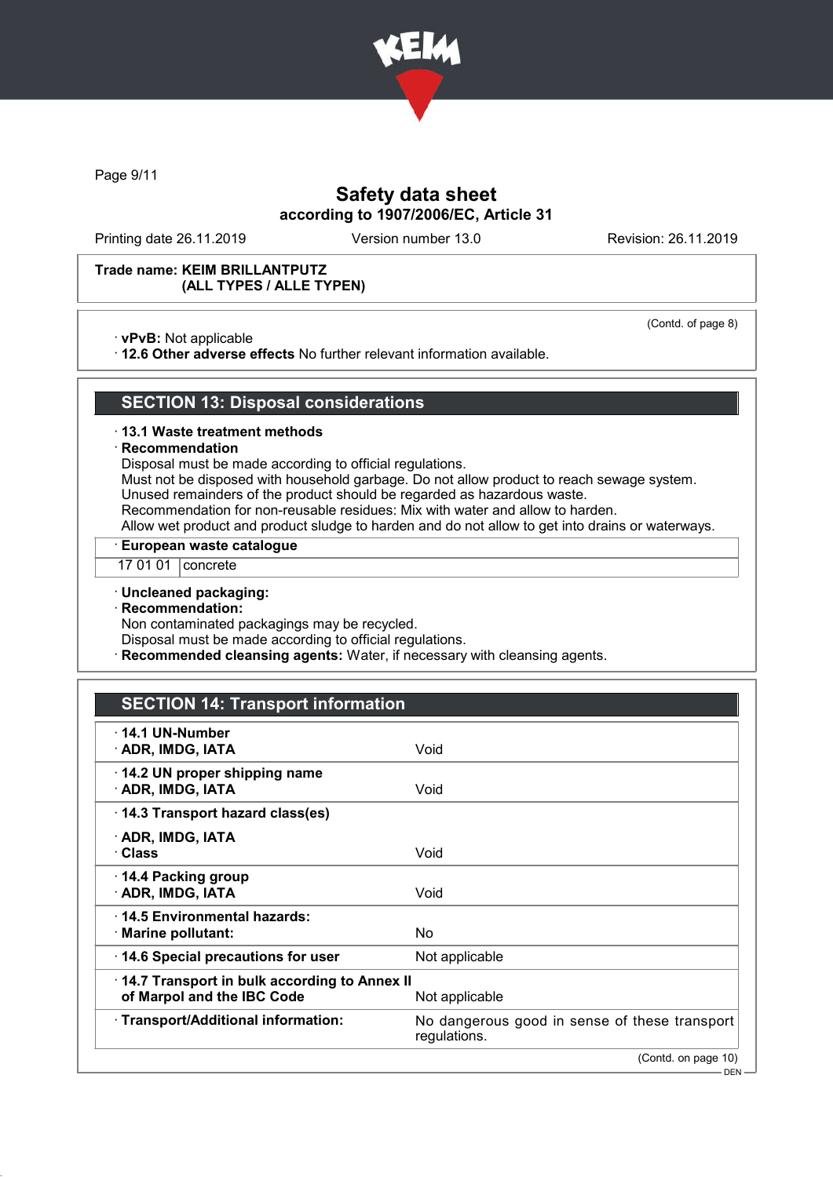

Page 9/11

# Safety data sheet according to 1907/2006/EC, Article 31

Printing date 26.11.2019 Version number 13.0 Revision: 26.11.2019

(Contd. of page 8)

### Trade name: KEIM BRILLANTPUTZ (ALL TYPES / ALLE TYPEN)

· vPvB: Not applicable

· 12.6 Other adverse effects No further relevant information available.

### SECTION 13: Disposal considerations

#### · 13.1 Waste treatment methods

#### **Recommendation**

Disposal must be made according to official regulations.

Must not be disposed with household garbage. Do not allow product to reach sewage system. Unused remainders of the product should be regarded as hazardous waste.

Recommendation for non-reusable residues: Mix with water and allow to harden.

Allow wet product and product sludge to harden and do not allow to get into drains or waterways.

### · European waste catalogue

17 01 01 concrete

#### · Uncleaned packaging:

· Recommendation:

Non contaminated packagings may be recycled.

Disposal must be made according to official regulations.

Recommended cleansing agents: Water, if necessary with cleansing agents.

### SECTION 14: Transport information

| $\cdot$ 14.1 UN-Number<br>· ADR, IMDG, IATA                                                  | Void                                                          |
|----------------------------------------------------------------------------------------------|---------------------------------------------------------------|
| $\cdot$ 14.2 UN proper shipping name<br>· ADR, IMDG, IATA                                    | Void                                                          |
| 14.3 Transport hazard class(es)                                                              |                                                               |
| · ADR, IMDG, IATA<br>∙ Class                                                                 | Void                                                          |
| ⋅ 14.4 Packing group<br>· ADR, IMDG, IATA                                                    | Void                                                          |
| ⋅14.5 Environmental hazards:<br>$\cdot$ Marine pollutant:                                    | No                                                            |
| 14.6 Special precautions for user                                                            | Not applicable                                                |
| 14.7 Transport in bulk according to Annex II<br>of Marpol and the IBC Code<br>Not applicable |                                                               |
| · Transport/Additional information:                                                          | No dangerous good in sense of these transport<br>regulations. |
|                                                                                              | (Contd. on page 10)                                           |
|                                                                                              | DEN-                                                          |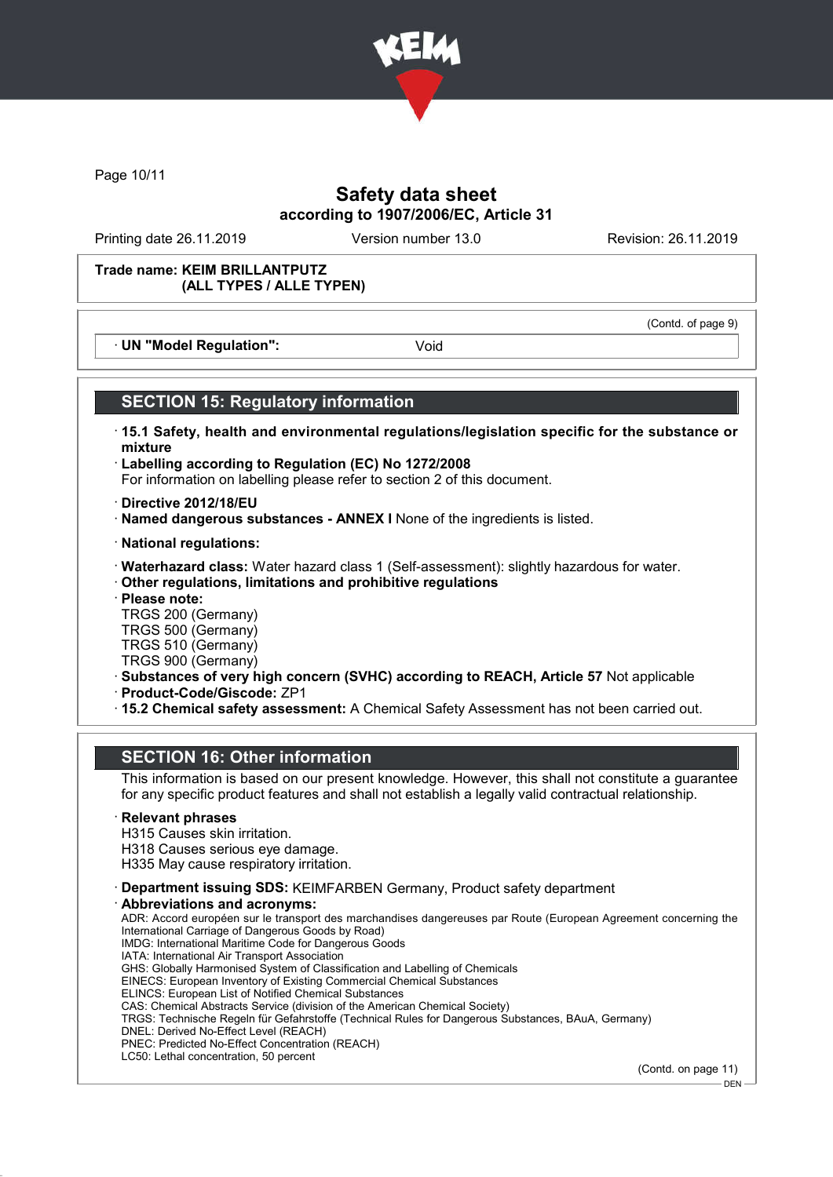

Page 10/11

# Safety data sheet according to 1907/2006/EC, Article 31

Printing date 26.11.2019 Version number 13.0 Revision: 26.11.2019

(Contd. of page 9)

#### Trade name: KEIM BRILLANTPUTZ (ALL TYPES / ALLE TYPEN)

· UN "Model Regulation": Void

# SECTION 15: Regulatory information

- · 15.1 Safety, health and environmental regulations/legislation specific for the substance or mixture
- · Labelling according to Regulation (EC) No 1272/2008 For information on labelling please refer to section 2 of this document.
- · Directive 2012/18/EU
- · Named dangerous substances ANNEX I None of the ingredients is listed.
- · National regulations:
- · Waterhazard class: Water hazard class 1 (Self-assessment): slightly hazardous for water.
- · Other regulations, limitations and prohibitive regulations
- · Please note:
- TRGS 200 (Germany)
- TRGS 500 (Germany) TRGS 510 (Germany)
- TRGS 900 (Germany)
- · Substances of very high concern (SVHC) according to REACH, Article 57 Not applicable
- · Product-Code/Giscode: ZP1
- · 15.2 Chemical safety assessment: A Chemical Safety Assessment has not been carried out.

# SECTION 16: Other information

This information is based on our present knowledge. However, this shall not constitute a guarantee for any specific product features and shall not establish a legally valid contractual relationship.

#### **Relevant phrases**

- H315 Causes skin irritation.
- H318 Causes serious eye damage.
- H335 May cause respiratory irritation.
- · Department issuing SDS: KEIMFARBEN Germany, Product safety department · Abbreviations and acronyms:
- ADR: Accord européen sur le transport des marchandises dangereuses par Route (European Agreement concerning the International Carriage of Dangerous Goods by Road) IMDG: International Maritime Code for Dangerous Goods IATA: International Air Transport Association GHS: Globally Harmonised System of Classification and Labelling of Chemicals EINECS: European Inventory of Existing Commercial Chemical Substances ELINCS: European List of Notified Chemical Substances CAS: Chemical Abstracts Service (division of the American Chemical Society) TRGS: Technische Regeln für Gefahrstoffe (Technical Rules for Dangerous Substances, BAuA, Germany) DNEL: Derived No-Effect Level (REACH) PNEC: Predicted No-Effect Concentration (REACH) LC50: Lethal concentration, 50 percent

(Contd. on page 11)